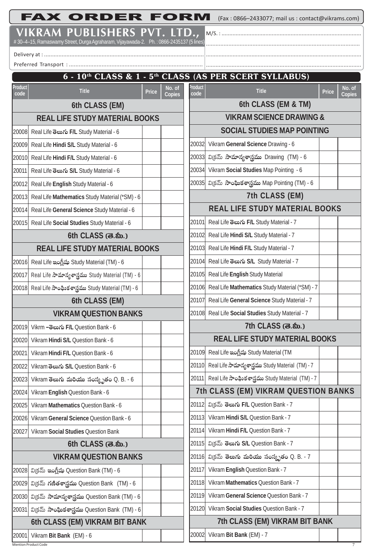FAX ORDER FORM (Fax : 0866-2433077; mail us : contact@vikrams.com)

M/S. : ......................................................................................... ................................................................................................ ...................................................................................................

## **VIKRAM PUBLISHERS PVT. LTD.,**

# 30–4–15, Ramaswamy Street, Durga Agraharam, Vijayawada-2. Ph. : 0866-2435137 (5 lines)

Delivery at : ....................................................................................................

| 6 - 10 <sup>th</sup> CLASS & 1 - 5 <sup>th</sup> CLASS (AS PER SCERT SYLLABUS) |                                                              |       |                                     |                                                        |                                                          |       |                  |  |  |
|--------------------------------------------------------------------------------|--------------------------------------------------------------|-------|-------------------------------------|--------------------------------------------------------|----------------------------------------------------------|-------|------------------|--|--|
| Product<br>code                                                                | <b>Title</b>                                                 | Price | No. of<br><b>Copies</b>             | Product<br>code                                        | <b>Title</b>                                             | Price | No. of<br>Copies |  |  |
| 6th CLASS (EM)                                                                 |                                                              |       |                                     | 6th CLASS (EM & TM)                                    |                                                          |       |                  |  |  |
| <b>REAL LIFE STUDY MATERIAL BOOKS</b>                                          |                                                              |       | <b>VIKRAM SCIENCE DRAWING &amp;</b> |                                                        |                                                          |       |                  |  |  |
| 20008                                                                          | Real Life ອິຍາ Study Material - 6                            |       |                                     |                                                        | <b>SOCIAL STUDIES MAP POINTING</b>                       |       |                  |  |  |
| 20009                                                                          | Real Life Hindi S/L Study Material - 6                       |       |                                     | 20032                                                  | Vikram General Science Drawing - 6                       |       |                  |  |  |
|                                                                                | 20010 Real Life Hindi F/L Study Material - 6                 |       |                                     |                                                        | 20033 విక్రమ్ సామాన్యశాస్త్రము Drawing (TM) - 6          |       |                  |  |  |
| 20011                                                                          | Real Life ອິຍາດົນ S/L Study Material - 6                     |       |                                     |                                                        | 20034 Vikram Social Studies Map Pointing - 6             |       |                  |  |  |
| 20012                                                                          | Real Life English Study Material - 6                         |       |                                     |                                                        | 20035  వి(కమ్ సాంఘికశాస్త్రము Map Pointing (TM) - 6      |       |                  |  |  |
| 20013                                                                          | Real Life Mathematics Study Material (*SM) - 6               |       |                                     |                                                        | 7th CLASS (EM)                                           |       |                  |  |  |
| 20014                                                                          | Real Life General Science Study Material - 6                 |       |                                     | <b>REAL LIFE STUDY MATERIAL BOOKS</b>                  |                                                          |       |                  |  |  |
|                                                                                | 20015 Real Life Social Studies Study Material - 6            |       |                                     | 20101                                                  | Real Life ອິຍາ Study Material - 7                        |       |                  |  |  |
|                                                                                | 6th CLASS (க.ல்.)                                            |       |                                     |                                                        | 20102 Real Life Hindi S/L Study Material - 7             |       |                  |  |  |
| <b>REAL LIFE STUDY MATERIAL BOOKS</b>                                          |                                                              |       | 20103                               | Real Life Hindi F/L Study Material - 7                 |                                                          |       |                  |  |  |
|                                                                                | 20016 Real Life ఇంగ్లీషు Study Material (TM) - 6             |       |                                     |                                                        | 20104 Real Life ອີຍາ S/L Study Material - 7              |       |                  |  |  |
| 20017                                                                          | Real Life సామాన్యశాస్త్రము Study Material (TM) - 6           |       |                                     | 20105                                                  | Real Life English Study Material                         |       |                  |  |  |
|                                                                                | 20018  Real Life సాంఫిుకశాస్త్రము Study Material (TM) - 6    |       |                                     | 20106                                                  | Real Life Mathematics Study Material (*SM) - 7           |       |                  |  |  |
| 6th CLASS (EM)                                                                 |                                                              |       | 20107                               | Real Life General Science Study Material - 7           |                                                          |       |                  |  |  |
| <b>VIKRAM QUESTION BANKS</b>                                                   |                                                              |       |                                     | 20108 Real Life Social Studies Study Material - 7      |                                                          |       |                  |  |  |
| 20019                                                                          | Vikrm –ತಲುಗು F/L Question Bank - 6                           |       |                                     |                                                        | 7th CLASS (க.ஸ்.)                                        |       |                  |  |  |
| 20020                                                                          | Vikram Hindi S/L Question Bank - 6                           |       |                                     | <b>REAL LIFE STUDY MATERIAL BOOKS</b>                  |                                                          |       |                  |  |  |
|                                                                                | 20021 Vikram Hindi F/L Question Bank - 6                     |       |                                     |                                                        | 20109 Real Life ఇంగ్లీషు Study Material (TM              |       |                  |  |  |
| 20022                                                                          | Vikram මහාරා S/L Question Bank - 6                           |       |                                     |                                                        | 20110 Real Life సామాన్యశాస్త్రము Study Material (TM) - 7 |       |                  |  |  |
| 20023                                                                          | Vikram తెలుగు మరియు సంస్కృతం Q. B. - 6                       |       |                                     |                                                        | 20111 Real Life సాంఫింకశాస్త్రము Study Material (TM) - 7 |       |                  |  |  |
| 20024                                                                          | Vikram English Question Bank - 6                             |       |                                     |                                                        | 7th CLASS (EM) VIKRAM QUESTION BANKS                     |       |                  |  |  |
| 20025                                                                          | Vikram Mathematics Question Bank - 6                         |       |                                     |                                                        | 20112 విక్రమ్ తెలుగు F/L Question Bank - 7               |       |                  |  |  |
| 20026                                                                          | Vikram General Science Question Bank - 6                     |       |                                     | 20113                                                  | Vikram Hindi S/L Question Bank - 7                       |       |                  |  |  |
| 20027                                                                          | Vikram Social Studies Question Bank                          |       |                                     |                                                        | 20114 Vikram Hindi F/L Question Bank - 7                 |       |                  |  |  |
|                                                                                | 6th CLASS (க.ஸ்.)                                            |       |                                     |                                                        | 20115 విక్రమ్ తెలుగు S/L Question Bank - 7               |       |                  |  |  |
| <b>VIKRAM QUESTION BANKS</b>                                                   |                                                              |       |                                     | 20116  విక్రమ్ తెలు <b>గు మరియు సంస్కృతం</b> Q. B. - 7 |                                                          |       |                  |  |  |
|                                                                                | 20028  విక్రమ్ ఇంగ్లీషు Question Bank (TM) - 6               |       |                                     | 20117                                                  | Vikram English Question Bank - 7                         |       |                  |  |  |
| 20029                                                                          | వి(కమ్ గణితశాస్త్రము Question Bank (TM) - 6                  |       |                                     | 20118 <sub>1</sub>                                     | Vikram Mathematics Question Bank - 7                     |       |                  |  |  |
|                                                                                | 20030  విక్రమ్ సామాన్యశాస్త్రము Question Bank (TM) - 6       |       |                                     | 20119                                                  | Vikram General Science Question Bank - 7                 |       |                  |  |  |
|                                                                                | 20031  విక్రమ్ <b>సాంఘికశాస్త్రము</b> Question Bank (TM) - 6 |       |                                     |                                                        | 20120 Vikram Social Studies Question Bank - 7            |       |                  |  |  |
| 6th CLASS (EM) VIKRAM BIT BANK                                                 |                                                              |       |                                     | 7th CLASS (EM) VIKRAM BIT BANK                         |                                                          |       |                  |  |  |
| 20001                                                                          | Vikram Bit Bank (EM) - 6                                     |       |                                     | 20002                                                  | Vikram Bit Bank (EM) - 7                                 |       |                  |  |  |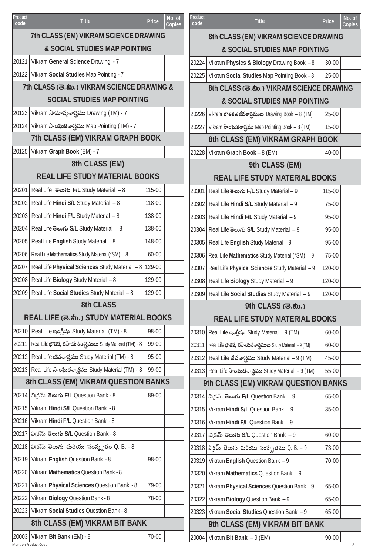| Product<br>code                            | <b>Title</b>                                                      | Price  | No. of<br>Copies                          | Product<br>code                       | <b>Title</b>                                              | <b>Price</b> | No. of<br><b>Copies</b> |  |
|--------------------------------------------|-------------------------------------------------------------------|--------|-------------------------------------------|---------------------------------------|-----------------------------------------------------------|--------------|-------------------------|--|
| 7th CLASS (EM) VIKRAM SCIENCE DRAWING      |                                                                   |        | 8th CLASS (EM) VIKRAM SCIENCE DRAWING     |                                       |                                                           |              |                         |  |
| & SOCIAL STUDIES MAP POINTING              |                                                                   |        | & SOCIAL STUDIES MAP POINTING             |                                       |                                                           |              |                         |  |
|                                            | 20121   Vikram General Science Drawing - 7                        |        |                                           | 20224                                 | Vikram Physics & Biology Drawing Book - 8                 | 30-00        |                         |  |
|                                            | 20122 Vikram Social Studies Map Pointing - 7                      |        |                                           | 20225                                 | Vikram Social Studies Map Pointing Book - 8               | $25-00$      |                         |  |
| 7th CLASS (ම.හි.) VIKRAM SCIENCE DRAWING & |                                                                   |        | 8th CLASS (3. கி.) VIKRAM SCIENCE DRAWING |                                       |                                                           |              |                         |  |
| <b>SOCIAL STUDIES MAP POINTING</b>         |                                                                   |        | & SOCIAL STUDIES MAP POINTING             |                                       |                                                           |              |                         |  |
| 20123                                      | Vikram సామాన్యశాస్త్రము Drawing (TM) - 7                          |        |                                           |                                       | 20226 Vikram భౌతిక&జీవశాస్త్రములు Drawing Book – 8 (TM)   | $25-00$      |                         |  |
|                                            | 20124   Vikram సాంఘికశాస్త్రము Map Pointing (TM) - 7              |        |                                           | 20227                                 | Vikram సాంఘికశాస్త్రము Map Pointing Book - 8 (TM)         | $15-00$      |                         |  |
|                                            | 7th CLASS (EM) VIKRAM GRAPH BOOK                                  |        |                                           |                                       | 8th CLASS (EM) VIKRAM GRAPH BOOK                          |              |                         |  |
| 20125                                      | Vikram Graph Book (EM) - 7                                        |        |                                           | 20228                                 | Vikram Graph Book - 8 (EM)                                | 40-00        |                         |  |
| 8th CLASS (EM)                             |                                                                   |        |                                           |                                       | 9th CLASS (EM)                                            |              |                         |  |
| <b>REAL LIFE STUDY MATERIAL BOOKS</b>      |                                                                   |        |                                           | <b>REAL LIFE STUDY MATERIAL BOOKS</b> |                                                           |              |                         |  |
| 20201                                      | Real Life မွေးက် F/L Study Material - 8                           | 115-00 |                                           | 20301                                 | Real Life ອິຍາ Study Material - 9                         | 115-00       |                         |  |
|                                            | 20202 Real Life Hindi S/L Study Material - 8                      | 118-00 |                                           |                                       | 20302 Real Life Hindi S/L Study Material - 9              | 75-00        |                         |  |
|                                            | 20203   Real Life Hindi F/L Study Material - 8                    | 138-00 |                                           |                                       | 20303 Real Life Hindi F/L Study Material - 9              | 95-00        |                         |  |
| 20204                                      | Real Life ອີຍາ S/L Study Material - 8                             | 138-00 |                                           |                                       | 20304 Real Life తెలుగు S/L Study Material – 9             | 95-00        |                         |  |
|                                            | 20205   Real Life English Study Material - 8                      | 148-00 |                                           |                                       | 20305   Real Life English Study Material - 9              | 95-00        |                         |  |
|                                            | 20206   Real Life Mathematics Study Material (*SM) - 8            | 60-00  |                                           |                                       | 20306   Real Life Mathematics Study Material (*SM) - 9    | 75-00        |                         |  |
| 20207                                      | Real Life Physical Sciences Study Material - 8 129-00             |        |                                           | 20307                                 | Real Life Physical Sciences Study Material - 9            | 120-00       |                         |  |
|                                            | 20208   Real Life Biology Study Material - 8                      | 129-00 |                                           |                                       | 20308   Real Life Biology Study Material - 9              | 120-00       |                         |  |
|                                            | 20209   Real Life Social Studies Study Material - 8               | 129-00 |                                           |                                       | 20309   Real Life Social Studies Study Material - 9       | 120-00       |                         |  |
| <b>8th CLASS</b>                           |                                                                   |        |                                           | 9th CLASS (க.ல்.)                     |                                                           |              |                         |  |
| REAL LIFE (க.ஸ்.) STUDY MATERIAL BOOKS     |                                                                   |        | <b>REAL LIFE STUDY MATERIAL BOOKS</b>     |                                       |                                                           |              |                         |  |
|                                            | 20210 Real Life ఇంగ్లీషు Study Material (TM) - 8                  | 98-00  |                                           |                                       | 20310 Real Life ఇంగ్లీషు Study Material – 9 (TM)          | 60-00        |                         |  |
|                                            | 20211   Real Life భౌతిక, రసాయనశాస్త్రములు Study Material (TM) - 8 | 99-00  |                                           | 20311                                 | Real Life భౌతిక, రసాయనశాస్త్రములు Study Material - 9 (TM) | 60-00        |                         |  |
|                                            | 20212 Real Life జీవశాస్త్రము Study Material (TM) - 8              | 95-00  |                                           |                                       | 20312   Real Life జీవశాస్త్రము Study Material – 9 (TM)    | 45-00        |                         |  |
|                                            | 20213 Real Life సాంఘికశాస్త్రము Study Material (TM) - 8           | 99-00  |                                           |                                       | 20313 Real Life సాంఫిుకశాస్త్రము Study Material - 9 (TM)  | 55-00        |                         |  |
| 8th CLASS (EM) VIKRAM QUESTION BANKS       |                                                                   |        | 9th CLASS (EM) VIKRAM QUESTION BANKS      |                                       |                                                           |              |                         |  |
|                                            | 20214   విక్రమ్ తెలుగు F/L Question Bank - 8                      | 89-00  |                                           |                                       | 20314   విక్రమ్ తెలుగు F/L Question Bank – 9              | 65-00        |                         |  |
|                                            | 20215   Vikram Hindi S/L Question Bank - 8                        |        |                                           |                                       | 20315   Vikram Hindi S/L Question Bank - 9                | 35-00        |                         |  |
|                                            | 20216 Vikram Hindi F/L Question Bank - 8                          |        |                                           |                                       | 20316 Vikram Hindi F/L Question Bank - 9                  |              |                         |  |
|                                            | 20217   వి(కమ్ తెలుగు S/L Question Bank - 8                       |        |                                           | 20317                                 | విక్రమ్ తెలుగు S/L Question Bank - 9                      | 60-00        |                         |  |
|                                            | 20218 విక్రమ్ <b>తెలుగు మరియు సంస్కృతం</b> Q. B. - 8              |        |                                           |                                       | 20318  విక్రమ్ తెలుగు మరియు సంస్కృతము Q. B. – 9           | 73-00        |                         |  |
|                                            | 20219 Vikram English Question Bank - 8                            | 98-00  |                                           |                                       | 20319 Vikram English Question Bank - 9                    | 70-00        |                         |  |
|                                            | 20220 Vikram Mathematics Question Bank - 8                        |        |                                           | 20320                                 | Vikram Mathematics Question Bank - 9                      |              |                         |  |
| 20221                                      | Vikram Physical Sciences Question Bank - 8                        | 79-00  |                                           | 20321                                 | Vikram Physical Sciences Question Bank - 9                | 65-00        |                         |  |
| 20222                                      | Vikram Biology Question Bank - 8                                  | 78-00  |                                           |                                       | 20322 Vikram Biology Question Bank - 9                    | 65-00        |                         |  |
|                                            | 20223 Vikram Social Studies Question Bank - 8                     |        |                                           |                                       | 20323 Vikram Social Studies Question Bank - 9             | 65-00        |                         |  |
| 8th CLASS (EM) VIKRAM BIT BANK             |                                                                   |        |                                           |                                       | 9th CLASS (EM) VIKRAM BIT BANK                            |              |                         |  |
| 20003                                      | Vikram Bit Bank (EM) - 8                                          | 70-00  |                                           |                                       | 20004 Vikram Bit Bank - 9 (EM)                            | 90-00        |                         |  |

Mention Product Code 8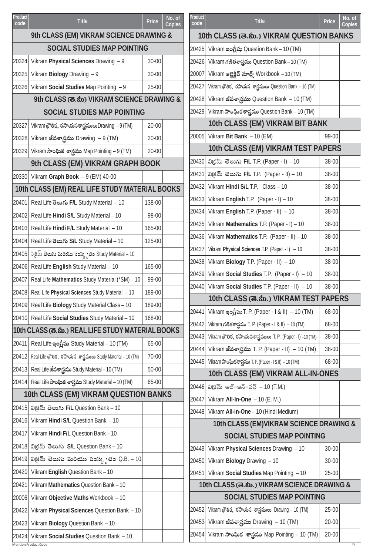| <b>Product</b><br>code             | <b>Title</b>                                                      | <b>Price</b> | No. of<br>Copies | Product<br>code                             | <b>Title</b>                                                    | <b>Price</b> | $\overline{\text{No. of}}$<br>Copies |  |
|------------------------------------|-------------------------------------------------------------------|--------------|------------------|---------------------------------------------|-----------------------------------------------------------------|--------------|--------------------------------------|--|
|                                    | 9th CLASS (EM) VIKRAM SCIENCE DRAWING &                           |              |                  |                                             | 10th CLASS (க.ஸ்.) VIKRAM QUESTION BANKS                        |              |                                      |  |
| <b>SOCIAL STUDIES MAP POINTING</b> |                                                                   |              |                  | 20425                                       | Vikram ఇంగ్లీషు Question Bank – 10 (TM)                         |              |                                      |  |
|                                    | 20324 Vikram Physical Sciences Drawing - 9                        | 30-00        |                  |                                             | 20426 Vikram గణితశాస్త్రము Question Bank – 10 (TM)              |              |                                      |  |
| 20325                              | Vikram Biology Drawing $-9$                                       | 30-00        |                  |                                             | 20007 Vikram ఆబ్జెక్లివ్ మాధ్స్ Workbook – 10 (TM)              |              |                                      |  |
|                                    | 20326 Vikram Social Studies Map Pointing - 9                      | 25-00        |                  | 20427                                       | Vikram భౌతిక, రసాయన శాస్త్రములు Question Bank – 10 (TM)         |              |                                      |  |
|                                    | 9th CLASS (க.ஸ்) VIKRAM SCIENCE DRAWING &                         |              |                  |                                             | 20428  Vikram జీవశాస్త్రము Question Bank  – 10 (TM)             |              |                                      |  |
|                                    | <b>SOCIAL STUDIES MAP POINTING</b>                                |              |                  |                                             | 20429 Vikram సాంఫిుకశాస్త్రము Question Bank – 10 (TM)           |              |                                      |  |
| 20327                              | Vikram భౌతిక, రసాయనశాస్త్రములు Drawing - 9 (TM)                   | 20-00        |                  |                                             | 10th CLASS (EM) VIKRAM BIT BANK                                 |              |                                      |  |
|                                    | 20328  Vikram జీవశాస్త్రము Drawing  – 9 (TM)                      | $20 - 00$    |                  |                                             | 20005 Vikram Bit Bank - 10 (EM)                                 | 99-00        |                                      |  |
|                                    | 20329  Vikram సాంఘిక శాస్త్రము Map Pointing – 9 (TM)              | 20-00        |                  |                                             | 10th CLASS (EM) VIKRAM TEST PAPERS                              |              |                                      |  |
|                                    | 9th CLASS (EM) VIKRAM GRAPH BOOK                                  |              |                  |                                             | 20430  విక్రమ్ తెలుగు  F/L T.P. (Paper - I) – 10                | 38-00        |                                      |  |
|                                    | 20330 Vikram Graph Book - 9 (EM) 40-00                            |              |                  | 20431                                       | వి(కమ్ తెలుగు F/L T.P. (Paper - II) – 10                        | 38-00        |                                      |  |
|                                    | 10th CLASS (EM) REAL LIFE STUDY MATERIAL BOOKS                    |              |                  |                                             | 20432 Vikram Hindi S/L T.P. Class - 10                          | 38-00        |                                      |  |
| 20401                              | Real Life මහා F/L Study Material - 10                             | 138-00       |                  |                                             | 20433 Vikram English T.P. (Paper - I) - 10                      | 38-00        |                                      |  |
|                                    | 20402 Real Life Hindi S/L Study Material - 10                     | 98-00        |                  |                                             | 20434 Vikram English T.P. (Paper - II) $-10$                    | 38-00        |                                      |  |
| 20403                              | Real Life Hindi F/L Study Material - 10                           | 165-00       |                  |                                             | 20435 Vikram Mathematics T.P. (Paper - I) - 10                  | 38-00        |                                      |  |
|                                    | 20404 Real Life తెలుగు S/L Study Material – 10                    | 125-00       |                  |                                             | 20436 Vikram Mathematics T.P. (Paper - II) - 10                 | 38-00        |                                      |  |
|                                    | 20405  విక్రమ్ తెలుగు మరియు సంస్కృతం Study Material – 10          |              |                  | 20437                                       | Vikram Physical Sciences T.P. (Paper - I) - 10                  | 38-00        |                                      |  |
| 20406                              | Real Life English Study Material - 10                             | 165-00       |                  |                                             | 20438 Vikram Biology T.P. (Paper - II) $-10$                    | 38-00        |                                      |  |
| 20407                              | Real Life Mathematics Study Material (*SM) - 10                   | 99-00        |                  |                                             | 20439 Vikram Social Studies T.P. (Paper - I) - 10               | 38-00        |                                      |  |
|                                    | 20408 Real Life Physical Sciences Study Material - 10             | 189-00       |                  |                                             | 20440 Vikram Social Studies T.P. (Paper - II) - 10              | 38-00        |                                      |  |
| 20409                              | Real Life Biology Study Material Class - 10                       | 189-00       |                  |                                             | 10th CLASS (க.ஸ்.) VIKRAM TEST PAPERS                           |              |                                      |  |
|                                    | 20410 Real Life Social Studies Study Material - 10                | 168-00       |                  | 20441                                       | Vikram ఇంగ్లీషు T. P. (Paper - I & II)  – 10 (TM)               | 68-00        |                                      |  |
|                                    | 10th CLASS (ෂ.ක.) REAL LIFE STUDY MATERIAL BOOKS                  |              |                  | 20442                                       | Vikram గణితశాస్త్రము T. P. (Paper - I & II) - 10 (TM)           | 68-00        |                                      |  |
| 20411                              | Real Life ఇంగ్లీషు Study Material – 10 (TM)                       | 65-00        |                  |                                             | 20443 Vikram భౌతిక, రసాయనశాస్త్రములు T. P. (Paper - I) –10 (TM) | 38-00        |                                      |  |
|                                    | 20412 Real Life భౌతిక, రసాయన శాస్త్రములు Study Material – 10 (TM) | 70-00        |                  |                                             | 20444 Vikram జీవశాస్త్రము T. P. (Paper - II)  – 10 (TM)         | 38-00        |                                      |  |
|                                    |                                                                   | 50-00        |                  |                                             | 20445 Vikram సాంఘికశాస్త్రము T. P. (Paper - I & II) – 10 (TM)   | 68-00        |                                      |  |
|                                    | 20413 Real Life జీవశాస్త్రము Study Material – 10 (TM)             |              |                  |                                             | 10th CLASS (EM) VIKRAM ALL-IN-ONES                              |              |                                      |  |
|                                    | 20414 Real Life సాంఘిక శాస్త్రము Study Material – 10 (TM)         | $65 - 00$    |                  |                                             | 20446 విక్రమ్ ఆల్–ఇన్–వన్ – 10 (T.M.)                           |              |                                      |  |
|                                    | 10th CLASS (EM) VIKRAM QUESTION BANKS                             |              |                  |                                             | 20447 Vikram All-In-One - 10 (E. M.)                            |              |                                      |  |
|                                    | 20415 విక్రమ్ తెలుగు F/L Question Bank - 10                       |              |                  |                                             | 20448 Vikram All-In-One - 10 (Hindi Medium)                     |              |                                      |  |
| 20416                              | Vikram Hindi S/L Question Bank - 10                               |              |                  |                                             | 10th CLASS (EM) VIKRAM SCIENCE DRAWING &                        |              |                                      |  |
| 20417                              | Vikram Hindi F/L Question Bank - 10                               |              |                  |                                             | <b>SOCIAL STUDIES MAP POINTING</b>                              |              |                                      |  |
|                                    | 20418 విక్రమ్ తెలుగు S/L Question Bank - 10                       |              |                  | 20449                                       | Vikram Physical Sciences Drawing - 10                           | 30-00        |                                      |  |
| 20419                              | విక్రమ్ తెలుగు మరియు సంస్కృతం Q.B. – 10                           |              |                  |                                             | 20450 Vikram Biology Drawing - 10                               | 30-00        |                                      |  |
| 20420                              | Vikram English Question Bank - 10                                 |              |                  |                                             | 20451 Vikram Social Studies Map Pointing - 10                   | 25-00        |                                      |  |
| 20421                              | Vikram Mathematics Question Bank - 10                             |              |                  | 10th CLASS (க.ல்.) VIKRAM SCIENCE DRAWING & |                                                                 |              |                                      |  |
| 20006                              | Vikram Objective Maths Workbook - 10                              |              |                  |                                             | <b>SOCIAL STUDIES MAP POINTING</b>                              |              |                                      |  |
| 20422                              | Vikram Physical Sciences Question Bank - 10                       |              |                  | 20452                                       | Vikram భౌతిక, రసాయన శాస్త్రములు Drawing - 10 (TM)               | 25-00        |                                      |  |
|                                    | 20423 Vikram Biology Question Bank - 10                           |              |                  |                                             | 20453 Vikram జీవశాస్త్రము Drawing  – 10 (TM)                    | $20 - 00$    |                                      |  |
| 20424                              | Vikram Social Studies Question Bank - 10                          |              |                  |                                             | 20454 Vikram సాంఘిక శాస్త్రము Map Pointing – 10 (TM)            | $20 - 00$    |                                      |  |
|                                    | <b>Mention Product Code</b>                                       |              |                  |                                             |                                                                 |              | 9                                    |  |

No. of<br>Copies